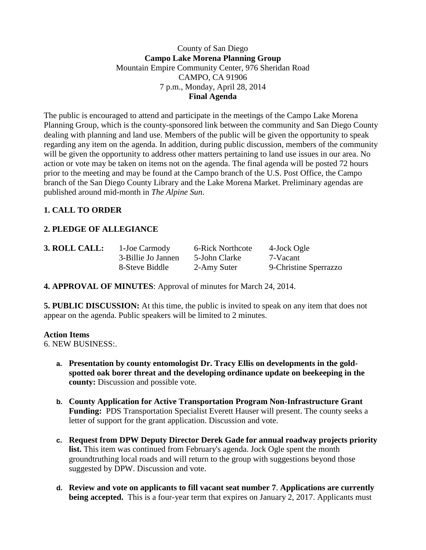### County of San Diego **Campo Lake Morena Planning Group** Mountain Empire Community Center, 976 Sheridan Road CAMPO, CA 91906 7 p.m., Monday, April 28, 2014 **Final Agenda**

The public is encouraged to attend and participate in the meetings of the Campo Lake Morena Planning Group, which is the county-sponsored link between the community and San Diego County dealing with planning and land use. Members of the public will be given the opportunity to speak regarding any item on the agenda. In addition, during public discussion, members of the community will be given the opportunity to address other matters pertaining to land use issues in our area. No action or vote may be taken on items not on the agenda. The final agenda will be posted 72 hours prior to the meeting and may be found at the Campo branch of the U.S. Post Office, the Campo branch of the San Diego County Library and the Lake Morena Market. Preliminary agendas are published around mid-month in *The Alpine Sun*.

# **1. CALL TO ORDER**

# **2. PLEDGE OF ALLEGIANCE**

| 3. ROLL CALL: | 1-Joe Carmody      | 6-Rick Northcote | 4-Jock Ogle           |
|---------------|--------------------|------------------|-----------------------|
|               | 3-Billie Jo Jannen | 5-John Clarke    | 7-Vacant              |
|               | 8-Steve Biddle     | 2-Amy Suter      | 9-Christine Sperrazzo |

# **4. APPROVAL OF MINUTES**: Approval of minutes for March 24, 2014.

**5. PUBLIC DISCUSSION:** At this time, the public is invited to speak on any item that does not appear on the agenda. Public speakers will be limited to 2 minutes.

#### **Action Items**

6. NEW BUSINESS:.

- **a. Presentation by county entomologist Dr. Tracy Ellis on developments in the goldspotted oak borer threat and the developing ordinance update on beekeeping in the county:** Discussion and possible vote.
- **b. County Application for Active Transportation Program Non-Infrastructure Grant Funding:** PDS Transportation Specialist Everett Hauser will present. The county seeks a letter of support for the grant application. Discussion and vote.
- **c. Request from DPW Deputy Director Derek Gade for annual roadway projects priority list.** This item was continued from February's agenda. Jock Ogle spent the month groundtruthing local roads and will return to the group with suggestions beyond those suggested by DPW. Discussion and vote.
- **d. Review and vote on applicants to fill vacant seat number 7**. **Applications are currently being accepted.** This is a four-year term that expires on January 2, 2017. Applicants must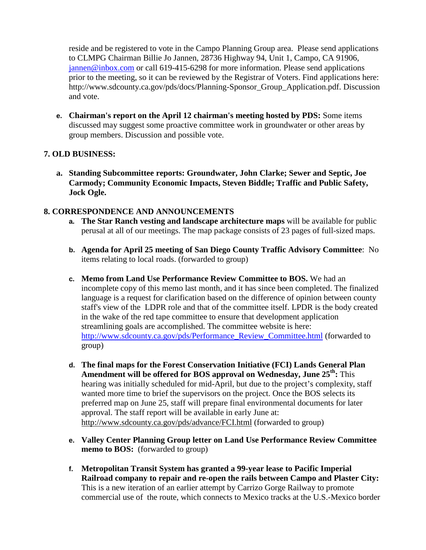reside and be registered to vote in the Campo Planning Group area. Please send applications to CLMPG Chairman Billie Jo Jannen, 28736 Highway 94, Unit 1, Campo, CA 91906, [jannen@inbox.com](mailto:campojoe@yahoo.com) or call 619-415-6298 for more information. Please send applications prior to the meeting, so it can be reviewed by the Registrar of Voters. Find applications here: http://www.sdcounty.ca.gov/pds/docs/Planning-Sponsor\_Group\_Application.pdf. Discussion and vote.

**e. Chairman's report on the April 12 chairman's meeting hosted by PDS:** Some items discussed may suggest some proactive committee work in groundwater or other areas by group members. Discussion and possible vote.

# **7. OLD BUSINESS:**

**a. Standing Subcommittee reports: Groundwater, John Clarke; Sewer and Septic, Joe Carmody; Community Economic Impacts, Steven Biddle; Traffic and Public Safety, Jock Ogle.**

#### **8. CORRESPONDENCE AND ANNOUNCEMENTS**

- **a. The Star Ranch vesting and landscape architecture maps** will be available for public perusal at all of our meetings. The map package consists of 23 pages of full-sized maps.
- **b. Agenda for April 25 meeting of San Diego County Traffic Advisory Committee**: No items relating to local roads. (forwarded to group)
- **c. Memo from Land Use Performance Review Committee to BOS.** We had an incomplete copy of this memo last month, and it has since been completed. The finalized language is a request for clarification based on the difference of opinion between county staff's view of the LDPR role and that of the committee itself. LPDR is the body created in the wake of the red tape committee to ensure that development application streamlining goals are accomplished. The committee website is here: [http://www.sdcounty.ca.gov/pds/Performance\\_Review\\_Committee.html](http://www.sdcounty.ca.gov/pds/Performance_Review_Committee.html) (forwarded to group)
- **d. The final maps for the Forest Conservation Initiative (FCI) Lands General Plan**  Amendment will be offered for BOS approval on Wednesday, June 25<sup>th</sup>: This hearing was initially scheduled for mid-April, but due to the project's complexity, staff wanted more time to brief the supervisors on the project. Once the BOS selects its preferred map on June 25, staff will prepare final environmental documents for later approval. The staff report will be available in early June at: <http://www.sdcounty.ca.gov/pds/advance/FCI.html> (forwarded to group)
- **e. Valley Center Planning Group letter on Land Use Performance Review Committee memo to BOS:** (forwarded to group)
- **f. Metropolitan Transit System has granted a 99-year lease to Pacific Imperial Railroad company to repair and re-open the rails between Campo and Plaster City:** This is a new iteration of an earlier attempt by Carrizo Gorge Railway to promote commercial use of the route, which connects to Mexico tracks at the U.S.-Mexico border